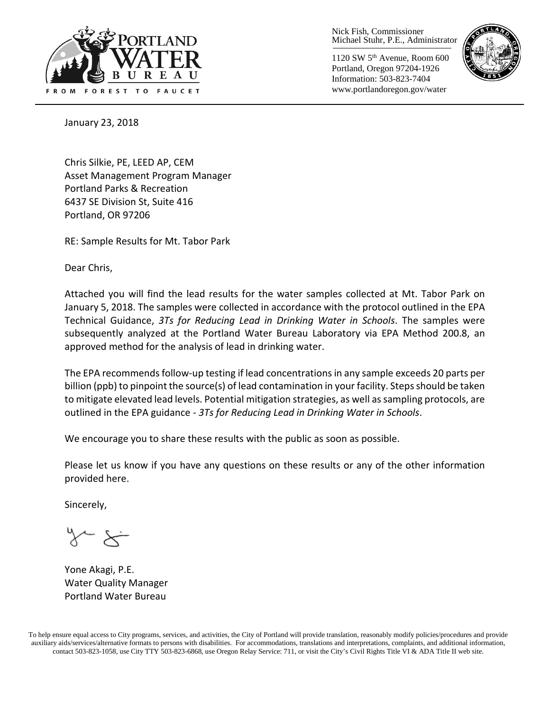

Nick Fish, Commissioner Michael Stuhr, P.E., Administrator

1120 SW 5th Avenue, Room 600 Portland, Oregon 97204-1926 Information: 503-823-7404 www.portlandoregon.gov/water



January 23, 2018

Chris Silkie, PE, LEED AP, CEM Asset Management Program Manager Portland Parks & Recreation 6437 SE Division St, Suite 416 Portland, OR 97206

RE: Sample Results for Mt. Tabor Park

Dear Chris,

Attached you will find the lead results for the water samples collected at Mt. Tabor Park on January 5, 2018. The samples were collected in accordance with the protocol outlined in the EPA Technical Guidance, *3Ts for Reducing Lead in Drinking Water in Schools*. The samples were subsequently analyzed at the Portland Water Bureau Laboratory via EPA Method 200.8, an approved method for the analysis of lead in drinking water.

The EPA recommends follow-up testing if lead concentrations in any sample exceeds 20 parts per billion (ppb) to pinpoint the source(s) of lead contamination in your facility. Steps should be taken to mitigate elevated lead levels. Potential mitigation strategies, as well as sampling protocols, are outlined in the EPA guidance - *3Ts for Reducing Lead in Drinking Water in Schools*.

We encourage you to share these results with the public as soon as possible.

Please let us know if you have any questions on these results or any of the other information provided here.

Sincerely,

Yone Akagi, P.E. Water Quality Manager Portland Water Bureau

To help ensure equal access to City programs, services, and activities, the City of Portland will provide translation, reasonably modify policies/procedures and provide auxiliary aids/services/alternative formats to persons with disabilities. For accommodations, translations and interpretations, complaints, and additional information, contact 503-823-1058, use City TTY 503-823-6868, use Oregon Relay Service: 711, or visi[t the City's Civil Rights Title VI & ADA Title II web site.](http://www.portlandoregon.gov/oehr/66458)